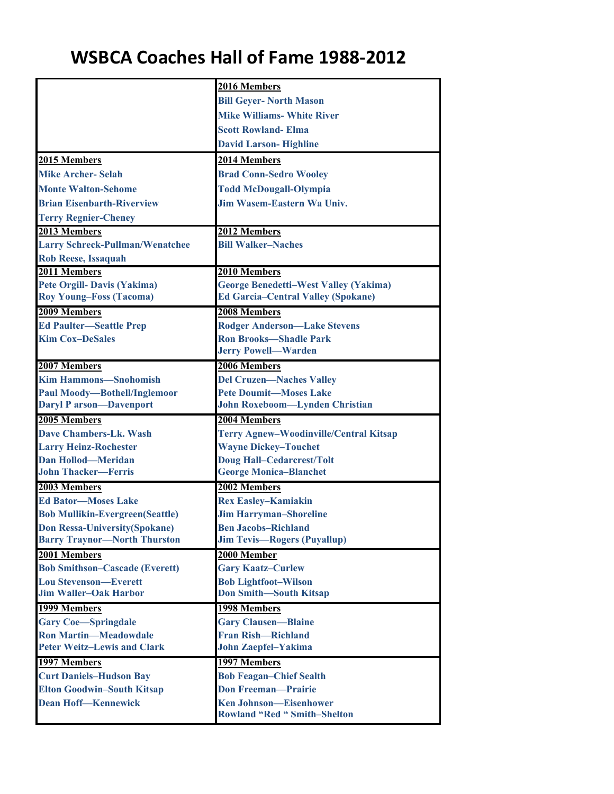## **WSBCA Coaches Hall of Fame 1988‐2012**

|                                               | 2016 Members                                                                 |
|-----------------------------------------------|------------------------------------------------------------------------------|
|                                               | <b>Bill Geyer- North Mason</b>                                               |
|                                               | <b>Mike Williams- White River</b>                                            |
|                                               | <b>Scott Rowland-Elma</b>                                                    |
|                                               | <b>David Larson-Highline</b>                                                 |
| 2015 Members                                  | 2014 Members                                                                 |
| <b>Mike Archer-Selah</b>                      | <b>Brad Conn-Sedro Wooley</b>                                                |
| <b>Monte Walton-Sehome</b>                    | <b>Todd McDougall-Olympia</b>                                                |
| <b>Brian Eisenbarth-Riverview</b>             | <b>Jim Wasem-Eastern Wa Univ.</b>                                            |
| <b>Terry Regnier-Cheney</b>                   |                                                                              |
| 2013 Members                                  | 2012 Members                                                                 |
| <b>Larry Schreck-Pullman/Wenatchee</b>        | <b>Bill Walker-Naches</b>                                                    |
| <b>Rob Reese, Issaquah</b>                    |                                                                              |
| 2011 Members                                  | 2010 Members                                                                 |
| <b>Pete Orgill- Davis (Yakima)</b>            | <b>George Benedetti-West Valley (Yakima)</b>                                 |
| <b>Roy Young-Foss (Tacoma)</b>                | <b>Ed Garcia-Central Valley (Spokane)</b>                                    |
| 2009 Members                                  | 2008 Members                                                                 |
| <b>Ed Paulter-Seattle Prep</b>                | <b>Rodger Anderson-Lake Stevens</b>                                          |
| <b>Kim Cox-DeSales</b>                        | <b>Ron Brooks-Shadle Park</b>                                                |
|                                               | <b>Jerry Powell-Warden</b>                                                   |
| 2007 Members                                  | 2006 Members                                                                 |
| <b>Kim Hammons-Snohomish</b>                  | <b>Del Cruzen-Naches Valley</b>                                              |
| <b>Paul Moody-Bothell/Inglemoor</b>           | <b>Pete Doumit-Moses Lake</b>                                                |
| <b>Daryl P arson-Davenport</b>                | John Roxeboom-Lynden Christian                                               |
| 2005 Members<br><b>Dave Chambers-Lk. Wash</b> | 2004 Members                                                                 |
| <b>Larry Heinz-Rochester</b>                  | <b>Terry Agnew-Woodinville/Central Kitsap</b><br><b>Wayne Dickey-Touchet</b> |
| <b>Dan Hollod-Meridan</b>                     | <b>Doug Hall-Cedarcrest/Tolt</b>                                             |
| <b>John Thacker-Ferris</b>                    | <b>George Monica-Blanchet</b>                                                |
| 2003 Members                                  | 2002 Members                                                                 |
| <b>Ed Bator-Moses Lake</b>                    | <b>Rex Easley-Kamiakin</b>                                                   |
| <b>Bob Mullikin-Evergreen(Seattle)</b>        | <b>Jim Harryman-Shoreline</b>                                                |
| <b>Don Ressa-University(Spokane)</b>          | <b>Ben Jacobs-Richland</b>                                                   |
| <b>Barry Traynor-North Thurston</b>           | <b>Jim Tevis-Rogers (Puyallup)</b>                                           |
| 2001 Members                                  | 2000 Member                                                                  |
| <b>Bob Smithson-Cascade (Everett)</b>         | <b>Gary Kaatz-Curlew</b>                                                     |
| <b>Lou Stevenson-Everett</b>                  | <b>Bob Lightfoot-Wilson</b>                                                  |
| <b>Jim Waller-Oak Harbor</b>                  | <b>Don Smith-South Kitsap</b>                                                |
| 1999 Members                                  | 1998 Members                                                                 |
| <b>Gary Coe-Springdale</b>                    | <b>Gary Clausen-Blaine</b>                                                   |
| <b>Ron Martin-Meadowdale</b>                  | <b>Fran Rish-Richland</b>                                                    |
| <b>Peter Weitz-Lewis and Clark</b>            | <b>John Zaepfel-Yakima</b>                                                   |
| 1997 Members                                  | 1997 Members                                                                 |
| <b>Curt Daniels-Hudson Bay</b>                | <b>Bob Feagan-Chief Sealth</b>                                               |
| <b>Elton Goodwin-South Kitsap</b>             | <b>Don Freeman-Prairie</b>                                                   |
| <b>Dean Hoff-Kennewick</b>                    | <b>Ken Johnson-Eisenhower</b>                                                |
|                                               | <b>Rowland "Red " Smith-Shelton</b>                                          |